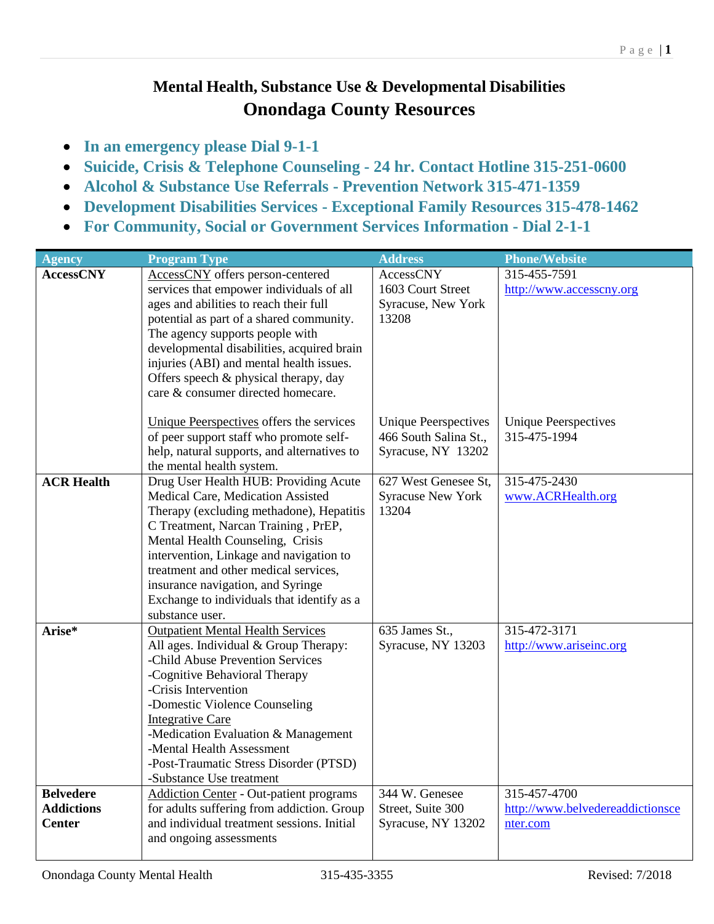## **Mental Health, Substance Use & Developmental Disabilities Onondaga County Resources**

- **In an emergency please Dial 9-1-1**
- **Suicide, Crisis & Telephone Counseling - 24 hr. Contact Hotline 315-251-0600**
- **Alcohol & Substance Use Referrals - Prevention Network 315-471-1359**
- **Development Disabilities Services - Exceptional Family Resources 315-478-1462**
- **For Community, Social or Government Services Information - Dial 2-1-1**

| <b>Agency</b>     | <b>Program Type</b>                            | <b>Address</b>              | <b>Phone/Website</b>             |
|-------------------|------------------------------------------------|-----------------------------|----------------------------------|
| <b>AccessCNY</b>  | AccessCNY offers person-centered               | AccessCNY                   | 315-455-7591                     |
|                   | services that empower individuals of all       | 1603 Court Street           | http://www.accesscny.org         |
|                   | ages and abilities to reach their full         | Syracuse, New York          |                                  |
|                   | potential as part of a shared community.       | 13208                       |                                  |
|                   | The agency supports people with                |                             |                                  |
|                   | developmental disabilities, acquired brain     |                             |                                  |
|                   | injuries (ABI) and mental health issues.       |                             |                                  |
|                   | Offers speech & physical therapy, day          |                             |                                  |
|                   | care & consumer directed homecare.             |                             |                                  |
|                   | Unique Peerspectives offers the services       | <b>Unique Peerspectives</b> | <b>Unique Peerspectives</b>      |
|                   | of peer support staff who promote self-        | 466 South Salina St.,       | 315-475-1994                     |
|                   | help, natural supports, and alternatives to    | Syracuse, NY 13202          |                                  |
|                   | the mental health system.                      |                             |                                  |
| <b>ACR Health</b> | Drug User Health HUB: Providing Acute          | 627 West Genesee St,        | 315-475-2430                     |
|                   | Medical Care, Medication Assisted              | <b>Syracuse New York</b>    | www.ACRHealth.org                |
|                   | Therapy (excluding methadone), Hepatitis       | 13204                       |                                  |
|                   | C Treatment, Narcan Training, PrEP,            |                             |                                  |
|                   | Mental Health Counseling, Crisis               |                             |                                  |
|                   | intervention, Linkage and navigation to        |                             |                                  |
|                   | treatment and other medical services,          |                             |                                  |
|                   | insurance navigation, and Syringe              |                             |                                  |
|                   | Exchange to individuals that identify as a     |                             |                                  |
|                   | substance user.                                |                             |                                  |
| Arise*            | <b>Outpatient Mental Health Services</b>       | 635 James St.,              | 315-472-3171                     |
|                   | All ages. Individual & Group Therapy:          | Syracuse, NY 13203          | http://www.ariseinc.org          |
|                   | -Child Abuse Prevention Services               |                             |                                  |
|                   | -Cognitive Behavioral Therapy                  |                             |                                  |
|                   | -Crisis Intervention                           |                             |                                  |
|                   | -Domestic Violence Counseling                  |                             |                                  |
|                   | <b>Integrative Care</b>                        |                             |                                  |
|                   | -Medication Evaluation & Management            |                             |                                  |
|                   | -Mental Health Assessment                      |                             |                                  |
|                   | -Post-Traumatic Stress Disorder (PTSD)         |                             |                                  |
|                   | -Substance Use treatment                       |                             |                                  |
| <b>Belvedere</b>  | <b>Addiction Center - Out-patient programs</b> | 344 W. Genesee              | 315-457-4700                     |
| <b>Addictions</b> | for adults suffering from addiction. Group     | Street, Suite 300           | http://www.belvedereaddictionsce |
| <b>Center</b>     | and individual treatment sessions. Initial     | Syracuse, NY 13202          | nter.com                         |
|                   | and ongoing assessments                        |                             |                                  |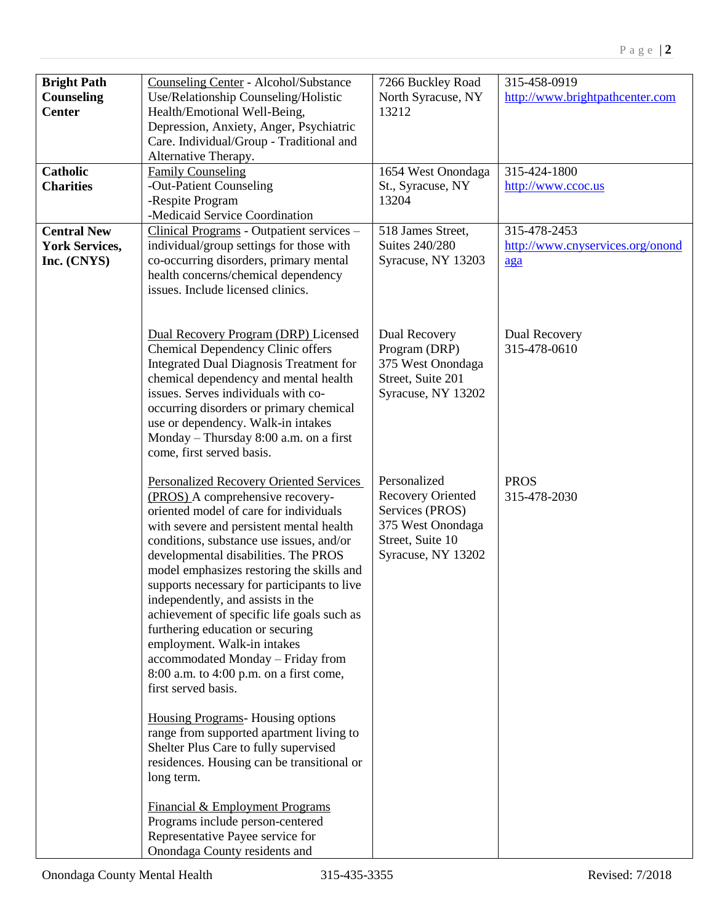| <b>Bright Path</b><br><b>Counseling</b><br><b>Center</b><br><b>Catholic</b><br><b>Charities</b><br><b>Central New</b><br><b>York Services,</b><br>Inc. (CNYS) | <b>Counseling Center - Alcohol/Substance</b><br>Use/Relationship Counseling/Holistic<br>Health/Emotional Well-Being,<br>Depression, Anxiety, Anger, Psychiatric<br>Care. Individual/Group - Traditional and<br>Alternative Therapy.<br><b>Family Counseling</b><br>-Out-Patient Counseling<br>-Respite Program<br>-Medicaid Service Coordination<br>Clinical Programs - Outpatient services -<br>individual/group settings for those with<br>co-occurring disorders, primary mental<br>health concerns/chemical dependency<br>issues. Include licensed clinics.                                                                                                                                                                                                                                                                                                                                                                                                     | 7266 Buckley Road<br>North Syracuse, NY<br>13212<br>1654 West Onondaga<br>St., Syracuse, NY<br>13204<br>518 James Street,<br><b>Suites 240/280</b><br>Syracuse, NY 13203 | 315-458-0919<br>http://www.brightpathcenter.com<br>315-424-1800<br>http://www.ccoc.us<br>315-478-2453<br>http://www.cnyservices.org/onond<br>aga |
|---------------------------------------------------------------------------------------------------------------------------------------------------------------|---------------------------------------------------------------------------------------------------------------------------------------------------------------------------------------------------------------------------------------------------------------------------------------------------------------------------------------------------------------------------------------------------------------------------------------------------------------------------------------------------------------------------------------------------------------------------------------------------------------------------------------------------------------------------------------------------------------------------------------------------------------------------------------------------------------------------------------------------------------------------------------------------------------------------------------------------------------------|--------------------------------------------------------------------------------------------------------------------------------------------------------------------------|--------------------------------------------------------------------------------------------------------------------------------------------------|
|                                                                                                                                                               | Dual Recovery Program (DRP) Licensed<br><b>Chemical Dependency Clinic offers</b><br><b>Integrated Dual Diagnosis Treatment for</b><br>chemical dependency and mental health<br>issues. Serves individuals with co-<br>occurring disorders or primary chemical<br>use or dependency. Walk-in intakes<br>Monday - Thursday 8:00 a.m. on a first<br>come, first served basis.                                                                                                                                                                                                                                                                                                                                                                                                                                                                                                                                                                                          | Dual Recovery<br>Program (DRP)<br>375 West Onondaga<br>Street, Suite 201<br>Syracuse, NY 13202                                                                           | Dual Recovery<br>315-478-0610                                                                                                                    |
|                                                                                                                                                               | <b>Personalized Recovery Oriented Services</b><br>(PROS) A comprehensive recovery-<br>oriented model of care for individuals<br>with severe and persistent mental health<br>conditions, substance use issues, and/or<br>developmental disabilities. The PROS<br>model emphasizes restoring the skills and<br>supports necessary for participants to live<br>independently, and assists in the<br>achievement of specific life goals such as<br>furthering education or securing<br>employment. Walk-in intakes<br>accommodated Monday - Friday from<br>$8:00$ a.m. to $4:00$ p.m. on a first come,<br>first served basis.<br><b>Housing Programs</b> - Housing options<br>range from supported apartment living to<br>Shelter Plus Care to fully supervised<br>residences. Housing can be transitional or<br>long term.<br>Financial & Employment Programs<br>Programs include person-centered<br>Representative Payee service for<br>Onondaga County residents and | Personalized<br><b>Recovery Oriented</b><br>Services (PROS)<br>375 West Onondaga<br>Street, Suite 10<br>Syracuse, NY 13202                                               | <b>PROS</b><br>315-478-2030                                                                                                                      |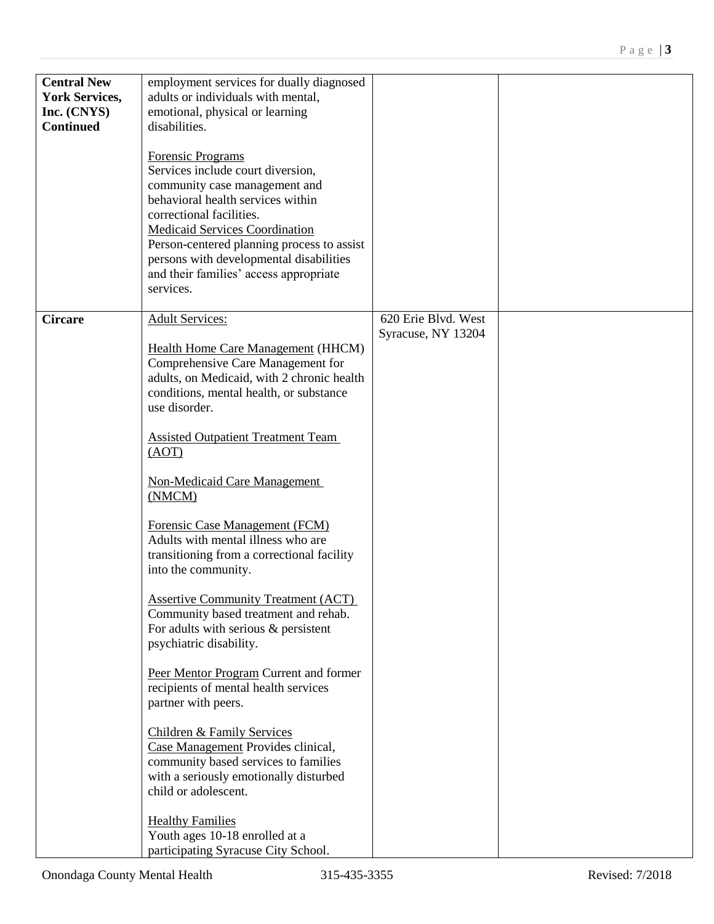| <b>Central New</b><br><b>York Services,</b><br>Inc. (CNYS)<br><b>Continued</b> | employment services for dually diagnosed<br>adults or individuals with mental,<br>emotional, physical or learning<br>disabilities.<br>Forensic Programs<br>Services include court diversion,<br>community case management and<br>behavioral health services within<br>correctional facilities.<br><b>Medicaid Services Coordination</b><br>Person-centered planning process to assist<br>persons with developmental disabilities<br>and their families' access appropriate<br>services.                                                                                                                                                                                                                                                                                                                                                                                                                                                                        |                                           |  |
|--------------------------------------------------------------------------------|----------------------------------------------------------------------------------------------------------------------------------------------------------------------------------------------------------------------------------------------------------------------------------------------------------------------------------------------------------------------------------------------------------------------------------------------------------------------------------------------------------------------------------------------------------------------------------------------------------------------------------------------------------------------------------------------------------------------------------------------------------------------------------------------------------------------------------------------------------------------------------------------------------------------------------------------------------------|-------------------------------------------|--|
| <b>Circare</b>                                                                 | <b>Adult Services:</b><br><b>Health Home Care Management (HHCM)</b><br>Comprehensive Care Management for<br>adults, on Medicaid, with 2 chronic health<br>conditions, mental health, or substance<br>use disorder.<br><b>Assisted Outpatient Treatment Team</b><br>(AOT)<br><b>Non-Medicaid Care Management</b><br>(NMCM)<br>Forensic Case Management (FCM)<br>Adults with mental illness who are<br>transitioning from a correctional facility<br>into the community.<br><b>Assertive Community Treatment (ACT)</b><br>Community based treatment and rehab.<br>For adults with serious $&$ persistent<br>psychiatric disability.<br>Peer Mentor Program Current and former<br>recipients of mental health services<br>partner with peers.<br><b>Children &amp; Family Services</b><br>Case Management Provides clinical,<br>community based services to families<br>with a seriously emotionally disturbed<br>child or adolescent.<br><b>Healthy Families</b> | 620 Erie Blvd. West<br>Syracuse, NY 13204 |  |
|                                                                                | Youth ages 10-18 enrolled at a<br>participating Syracuse City School.                                                                                                                                                                                                                                                                                                                                                                                                                                                                                                                                                                                                                                                                                                                                                                                                                                                                                          |                                           |  |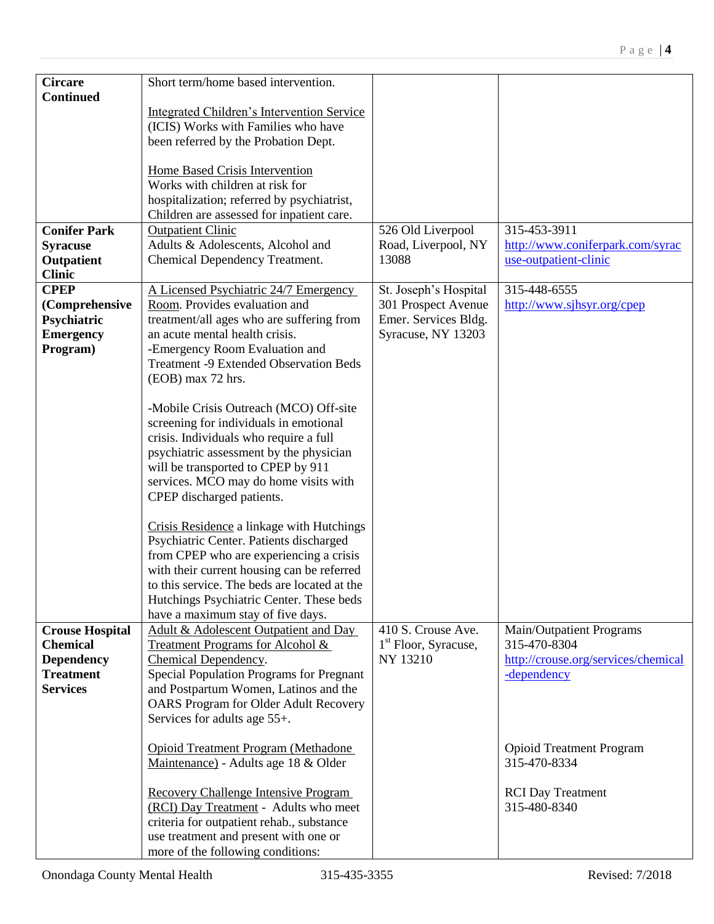| <b>Circare</b>         | Short term/home based intervention.             |                        |                                     |
|------------------------|-------------------------------------------------|------------------------|-------------------------------------|
| <b>Continued</b>       |                                                 |                        |                                     |
|                        | Integrated Children's Intervention Service      |                        |                                     |
|                        | (ICIS) Works with Families who have             |                        |                                     |
|                        | been referred by the Probation Dept.            |                        |                                     |
|                        |                                                 |                        |                                     |
|                        | Home Based Crisis Intervention                  |                        |                                     |
|                        | Works with children at risk for                 |                        |                                     |
|                        | hospitalization; referred by psychiatrist,      |                        |                                     |
|                        | Children are assessed for inpatient care.       |                        |                                     |
| <b>Conifer Park</b>    | <b>Outpatient Clinic</b>                        | 526 Old Liverpool      | 315-453-3911                        |
| <b>Syracuse</b>        | Adults & Adolescents, Alcohol and               | Road, Liverpool, NY    | http://www.coniferpark.com/syrac    |
| Outpatient             | Chemical Dependency Treatment.                  | 13088                  | use-outpatient-clinic               |
| <b>Clinic</b>          |                                                 |                        |                                     |
| <b>CPEP</b>            | A Licensed Psychiatric 24/7 Emergency           | St. Joseph's Hospital  | 315-448-6555                        |
| (Comprehensive         | Room. Provides evaluation and                   | 301 Prospect Avenue    | http://www.sjhsyr.org/cpep          |
| Psychiatric            | treatment/all ages who are suffering from       | Emer. Services Bldg.   |                                     |
| <b>Emergency</b>       | an acute mental health crisis.                  | Syracuse, NY 13203     |                                     |
| Program)               | -Emergency Room Evaluation and                  |                        |                                     |
|                        | <b>Treatment -9 Extended Observation Beds</b>   |                        |                                     |
|                        | (EOB) max 72 hrs.                               |                        |                                     |
|                        |                                                 |                        |                                     |
|                        | -Mobile Crisis Outreach (MCO) Off-site          |                        |                                     |
|                        | screening for individuals in emotional          |                        |                                     |
|                        | crisis. Individuals who require a full          |                        |                                     |
|                        | psychiatric assessment by the physician         |                        |                                     |
|                        | will be transported to CPEP by 911              |                        |                                     |
|                        | services. MCO may do home visits with           |                        |                                     |
|                        | CPEP discharged patients.                       |                        |                                     |
|                        |                                                 |                        |                                     |
|                        | Crisis Residence a linkage with Hutchings       |                        |                                     |
|                        | Psychiatric Center. Patients discharged         |                        |                                     |
|                        | from CPEP who are experiencing a crisis         |                        |                                     |
|                        | with their current housing can be referred      |                        |                                     |
|                        | to this service. The beds are located at the    |                        |                                     |
|                        | Hutchings Psychiatric Center. These beds        |                        |                                     |
|                        | have a maximum stay of five days.               |                        |                                     |
| <b>Crouse Hospital</b> | Adult & Adolescent Outpatient and Day           | 410 S. Crouse Ave.     | Main/Outpatient Programs            |
| <b>Chemical</b>        | <b>Treatment Programs for Alcohol &amp;</b>     | $1st$ Floor, Syracuse, | 315-470-8304                        |
| <b>Dependency</b>      | Chemical Dependency.                            | NY 13210               | http://crouse.org/services/chemical |
| <b>Treatment</b>       | <b>Special Population Programs for Pregnant</b> |                        | -dependency                         |
| <b>Services</b>        | and Postpartum Women, Latinos and the           |                        |                                     |
|                        | <b>OARS</b> Program for Older Adult Recovery    |                        |                                     |
|                        | Services for adults age 55+.                    |                        |                                     |
|                        |                                                 |                        |                                     |
|                        | <b>Opioid Treatment Program (Methadone</b>      |                        | <b>Opioid Treatment Program</b>     |
|                        | Maintenance) - Adults age 18 & Older            |                        | 315-470-8334                        |
|                        |                                                 |                        |                                     |
|                        | <b>Recovery Challenge Intensive Program</b>     |                        | <b>RCI</b> Day Treatment            |
|                        | (RCI) Day Treatment - Adults who meet           |                        | 315-480-8340                        |
|                        | criteria for outpatient rehab., substance       |                        |                                     |
|                        | use treatment and present with one or           |                        |                                     |
|                        | more of the following conditions:               |                        |                                     |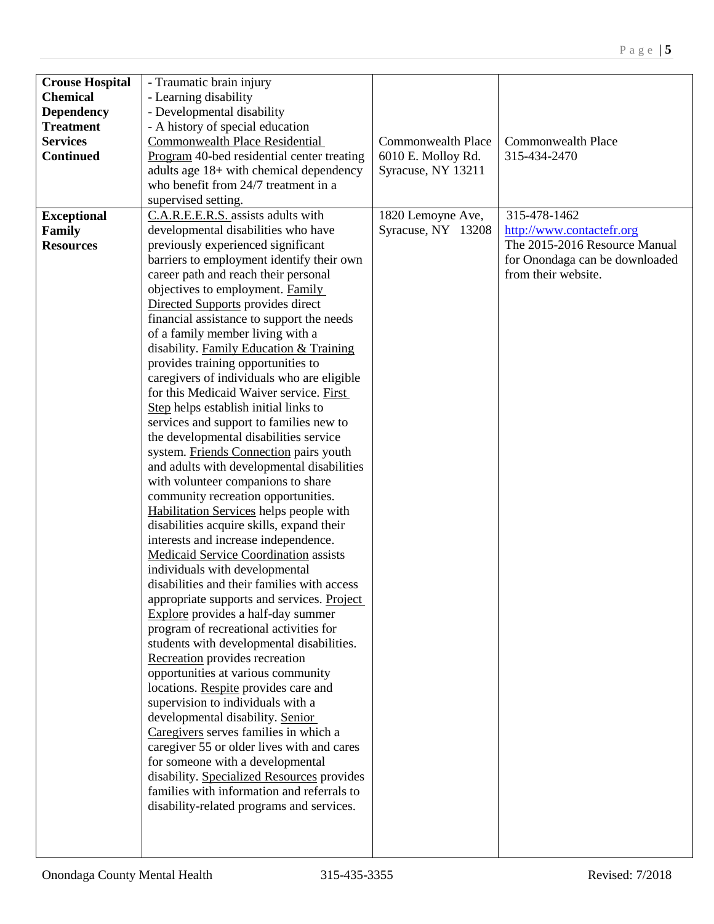| <b>Crouse Hospital</b> | - Traumatic brain injury                     |                           |                                |
|------------------------|----------------------------------------------|---------------------------|--------------------------------|
| <b>Chemical</b>        | - Learning disability                        |                           |                                |
| <b>Dependency</b>      | - Developmental disability                   |                           |                                |
| <b>Treatment</b>       | - A history of special education             |                           |                                |
| <b>Services</b>        | <b>Commonwealth Place Residential</b>        | <b>Commonwealth Place</b> | <b>Commonwealth Place</b>      |
| <b>Continued</b>       | Program 40-bed residential center treating   | 6010 E. Molloy Rd.        | 315-434-2470                   |
|                        | adults age 18+ with chemical dependency      | Syracuse, NY 13211        |                                |
|                        | who benefit from 24/7 treatment in a         |                           |                                |
|                        | supervised setting.                          |                           |                                |
| <b>Exceptional</b>     | C.A.R.E.E.R.S. assists adults with           | 1820 Lemoyne Ave,         | 315-478-1462                   |
| <b>Family</b>          | developmental disabilities who have          | Syracuse, NY 13208        | http://www.contactefr.org      |
| <b>Resources</b>       | previously experienced significant           |                           | The 2015-2016 Resource Manual  |
|                        | barriers to employment identify their own    |                           | for Onondaga can be downloaded |
|                        | career path and reach their personal         |                           | from their website.            |
|                        | objectives to employment. Family             |                           |                                |
|                        | Directed Supports provides direct            |                           |                                |
|                        | financial assistance to support the needs    |                           |                                |
|                        | of a family member living with a             |                           |                                |
|                        | disability. Family Education & Training      |                           |                                |
|                        | provides training opportunities to           |                           |                                |
|                        | caregivers of individuals who are eligible   |                           |                                |
|                        | for this Medicaid Waiver service. First      |                           |                                |
|                        | Step helps establish initial links to        |                           |                                |
|                        | services and support to families new to      |                           |                                |
|                        | the developmental disabilities service       |                           |                                |
|                        | system. Friends Connection pairs youth       |                           |                                |
|                        | and adults with developmental disabilities   |                           |                                |
|                        | with volunteer companions to share           |                           |                                |
|                        | community recreation opportunities.          |                           |                                |
|                        | Habilitation Services helps people with      |                           |                                |
|                        | disabilities acquire skills, expand their    |                           |                                |
|                        | interests and increase independence.         |                           |                                |
|                        | <b>Medicaid Service Coordination assists</b> |                           |                                |
|                        | individuals with developmental               |                           |                                |
|                        | disabilities and their families with access  |                           |                                |
|                        | appropriate supports and services. Project   |                           |                                |
|                        | Explore provides a half-day summer           |                           |                                |
|                        | program of recreational activities for       |                           |                                |
|                        | students with developmental disabilities.    |                           |                                |
|                        | Recreation provides recreation               |                           |                                |
|                        | opportunities at various community           |                           |                                |
|                        | locations. Respite provides care and         |                           |                                |
|                        | supervision to individuals with a            |                           |                                |
|                        | developmental disability. Senior             |                           |                                |
|                        | Caregivers serves families in which a        |                           |                                |
|                        | caregiver 55 or older lives with and cares   |                           |                                |
|                        | for someone with a developmental             |                           |                                |
|                        | disability. Specialized Resources provides   |                           |                                |
|                        | families with information and referrals to   |                           |                                |
|                        | disability-related programs and services.    |                           |                                |
|                        |                                              |                           |                                |
|                        |                                              |                           |                                |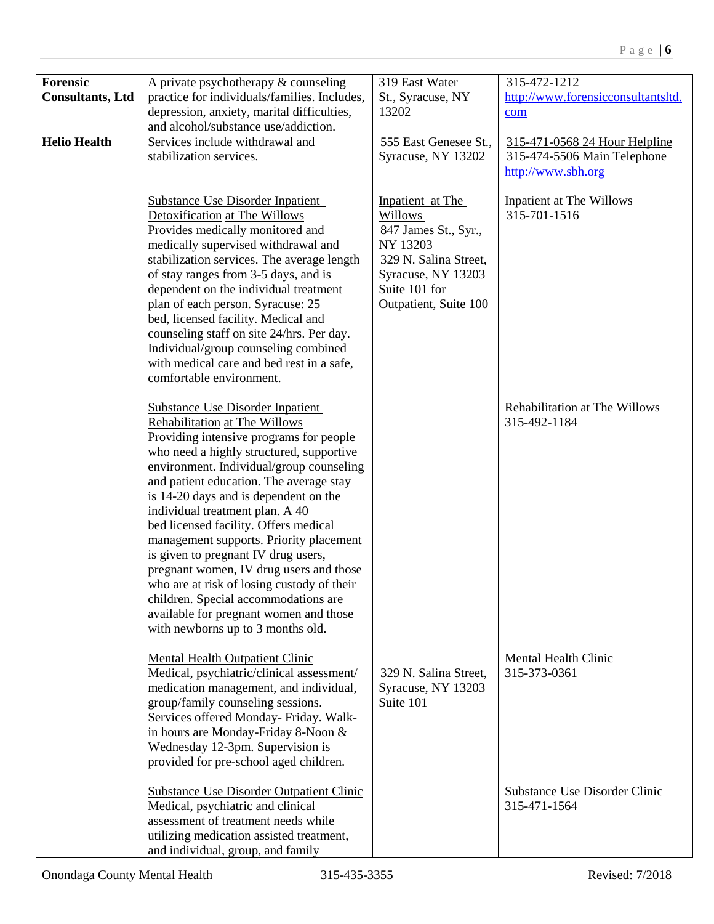| Forensic                | A private psychotherapy & counseling            | 319 East Water        | 315-472-1212                       |
|-------------------------|-------------------------------------------------|-----------------------|------------------------------------|
| <b>Consultants, Ltd</b> | practice for individuals/families. Includes,    | St., Syracuse, NY     | http://www.forensicconsultantsltd. |
|                         | depression, anxiety, marital difficulties,      | 13202                 | com                                |
|                         | and alcohol/substance use/addiction.            |                       |                                    |
| <b>Helio Health</b>     | Services include withdrawal and                 | 555 East Genesee St., | 315-471-0568 24 Hour Helpline      |
|                         | stabilization services.                         | Syracuse, NY 13202    | 315-474-5506 Main Telephone        |
|                         |                                                 |                       |                                    |
|                         |                                                 |                       | http://www.sbh.org                 |
|                         |                                                 |                       |                                    |
|                         | <b>Substance Use Disorder Inpatient</b>         | Inpatient at The      | Inpatient at The Willows           |
|                         | Detoxification at The Willows                   | <b>Willows</b>        | 315-701-1516                       |
|                         | Provides medically monitored and                | 847 James St., Syr.,  |                                    |
|                         | medically supervised withdrawal and             | NY 13203              |                                    |
|                         | stabilization services. The average length      | 329 N. Salina Street, |                                    |
|                         | of stay ranges from 3-5 days, and is            | Syracuse, NY 13203    |                                    |
|                         | dependent on the individual treatment           | Suite 101 for         |                                    |
|                         | plan of each person. Syracuse: 25               | Outpatient, Suite 100 |                                    |
|                         | bed, licensed facility. Medical and             |                       |                                    |
|                         | counseling staff on site 24/hrs. Per day.       |                       |                                    |
|                         |                                                 |                       |                                    |
|                         | Individual/group counseling combined            |                       |                                    |
|                         | with medical care and bed rest in a safe,       |                       |                                    |
|                         | comfortable environment.                        |                       |                                    |
|                         |                                                 |                       |                                    |
|                         | <b>Substance Use Disorder Inpatient</b>         |                       | Rehabilitation at The Willows      |
|                         | Rehabilitation at The Willows                   |                       | 315-492-1184                       |
|                         | Providing intensive programs for people         |                       |                                    |
|                         | who need a highly structured, supportive        |                       |                                    |
|                         | environment. Individual/group counseling        |                       |                                    |
|                         | and patient education. The average stay         |                       |                                    |
|                         | is 14-20 days and is dependent on the           |                       |                                    |
|                         | individual treatment plan. A 40                 |                       |                                    |
|                         | bed licensed facility. Offers medical           |                       |                                    |
|                         |                                                 |                       |                                    |
|                         | management supports. Priority placement         |                       |                                    |
|                         | is given to pregnant IV drug users,             |                       |                                    |
|                         | pregnant women, IV drug users and those         |                       |                                    |
|                         | who are at risk of losing custody of their      |                       |                                    |
|                         | children. Special accommodations are            |                       |                                    |
|                         | available for pregnant women and those          |                       |                                    |
|                         | with newborns up to 3 months old.               |                       |                                    |
|                         |                                                 |                       |                                    |
|                         | <b>Mental Health Outpatient Clinic</b>          |                       | <b>Mental Health Clinic</b>        |
|                         | Medical, psychiatric/clinical assessment/       | 329 N. Salina Street, | 315-373-0361                       |
|                         | medication management, and individual,          | Syracuse, NY 13203    |                                    |
|                         | group/family counseling sessions.               | Suite 101             |                                    |
|                         | Services offered Monday- Friday. Walk-          |                       |                                    |
|                         | in hours are Monday-Friday 8-Noon &             |                       |                                    |
|                         | Wednesday 12-3pm. Supervision is                |                       |                                    |
|                         | provided for pre-school aged children.          |                       |                                    |
|                         |                                                 |                       |                                    |
|                         | <b>Substance Use Disorder Outpatient Clinic</b> |                       | Substance Use Disorder Clinic      |
|                         | Medical, psychiatric and clinical               |                       | 315-471-1564                       |
|                         | assessment of treatment needs while             |                       |                                    |
|                         | utilizing medication assisted treatment,        |                       |                                    |
|                         |                                                 |                       |                                    |
|                         | and individual, group, and family               |                       |                                    |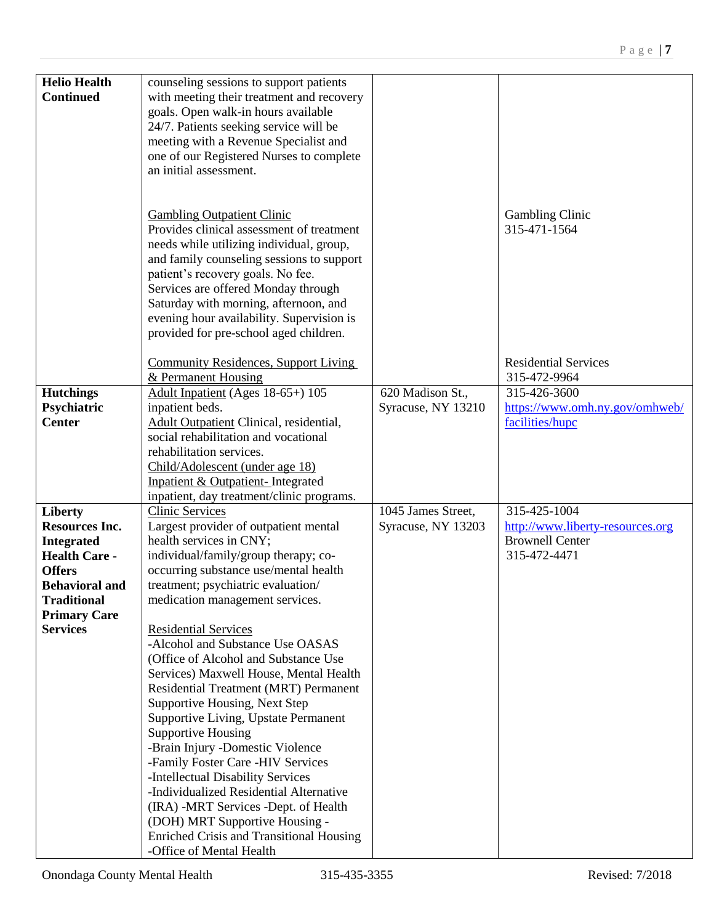| <b>Helio Health</b>   | counseling sessions to support patients         |                    |                                  |
|-----------------------|-------------------------------------------------|--------------------|----------------------------------|
| <b>Continued</b>      | with meeting their treatment and recovery       |                    |                                  |
|                       | goals. Open walk-in hours available             |                    |                                  |
|                       | 24/7. Patients seeking service will be          |                    |                                  |
|                       | meeting with a Revenue Specialist and           |                    |                                  |
|                       | one of our Registered Nurses to complete        |                    |                                  |
|                       | an initial assessment.                          |                    |                                  |
|                       |                                                 |                    |                                  |
|                       |                                                 |                    |                                  |
|                       |                                                 |                    |                                  |
|                       | <b>Gambling Outpatient Clinic</b>               |                    | <b>Gambling Clinic</b>           |
|                       | Provides clinical assessment of treatment       |                    | 315-471-1564                     |
|                       | needs while utilizing individual, group,        |                    |                                  |
|                       | and family counseling sessions to support       |                    |                                  |
|                       | patient's recovery goals. No fee.               |                    |                                  |
|                       | Services are offered Monday through             |                    |                                  |
|                       | Saturday with morning, afternoon, and           |                    |                                  |
|                       | evening hour availability. Supervision is       |                    |                                  |
|                       | provided for pre-school aged children.          |                    |                                  |
|                       |                                                 |                    |                                  |
|                       | <b>Community Residences, Support Living</b>     |                    | <b>Residential Services</b>      |
|                       | & Permanent Housing                             |                    | 315-472-9964                     |
|                       |                                                 | 620 Madison St.,   |                                  |
| <b>Hutchings</b>      | Adult Inpatient (Ages 18-65+) 105               |                    | 315-426-3600                     |
| Psychiatric           | inpatient beds.                                 | Syracuse, NY 13210 | https://www.omh.ny.gov/omhweb/   |
| <b>Center</b>         | Adult Outpatient Clinical, residential,         |                    | facilities/hupc                  |
|                       | social rehabilitation and vocational            |                    |                                  |
|                       | rehabilitation services.                        |                    |                                  |
|                       | Child/Adolescent (under age 18)                 |                    |                                  |
|                       | Inpatient & Outpatient- Integrated              |                    |                                  |
|                       | inpatient, day treatment/clinic programs.       |                    |                                  |
| <b>Liberty</b>        | <b>Clinic Services</b>                          | 1045 James Street, | 315-425-1004                     |
| <b>Resources Inc.</b> | Largest provider of outpatient mental           | Syracuse, NY 13203 | http://www.liberty-resources.org |
| <b>Integrated</b>     | health services in CNY;                         |                    | <b>Brownell Center</b>           |
| <b>Health Care -</b>  | individual/family/group therapy; co-            |                    | 315-472-4471                     |
| <b>Offers</b>         | occurring substance use/mental health           |                    |                                  |
| <b>Behavioral and</b> | treatment; psychiatric evaluation/              |                    |                                  |
|                       |                                                 |                    |                                  |
| <b>Traditional</b>    | medication management services.                 |                    |                                  |
| <b>Primary Care</b>   |                                                 |                    |                                  |
| <b>Services</b>       | <b>Residential Services</b>                     |                    |                                  |
|                       | -Alcohol and Substance Use OASAS                |                    |                                  |
|                       | (Office of Alcohol and Substance Use            |                    |                                  |
|                       | Services) Maxwell House, Mental Health          |                    |                                  |
|                       | Residential Treatment (MRT) Permanent           |                    |                                  |
|                       | Supportive Housing, Next Step                   |                    |                                  |
|                       | Supportive Living, Upstate Permanent            |                    |                                  |
|                       | <b>Supportive Housing</b>                       |                    |                                  |
|                       | -Brain Injury -Domestic Violence                |                    |                                  |
|                       | -Family Foster Care -HIV Services               |                    |                                  |
|                       | -Intellectual Disability Services               |                    |                                  |
|                       | -Individualized Residential Alternative         |                    |                                  |
|                       |                                                 |                    |                                  |
|                       | (IRA) -MRT Services -Dept. of Health            |                    |                                  |
|                       | (DOH) MRT Supportive Housing -                  |                    |                                  |
|                       | <b>Enriched Crisis and Transitional Housing</b> |                    |                                  |
|                       | -Office of Mental Health                        |                    |                                  |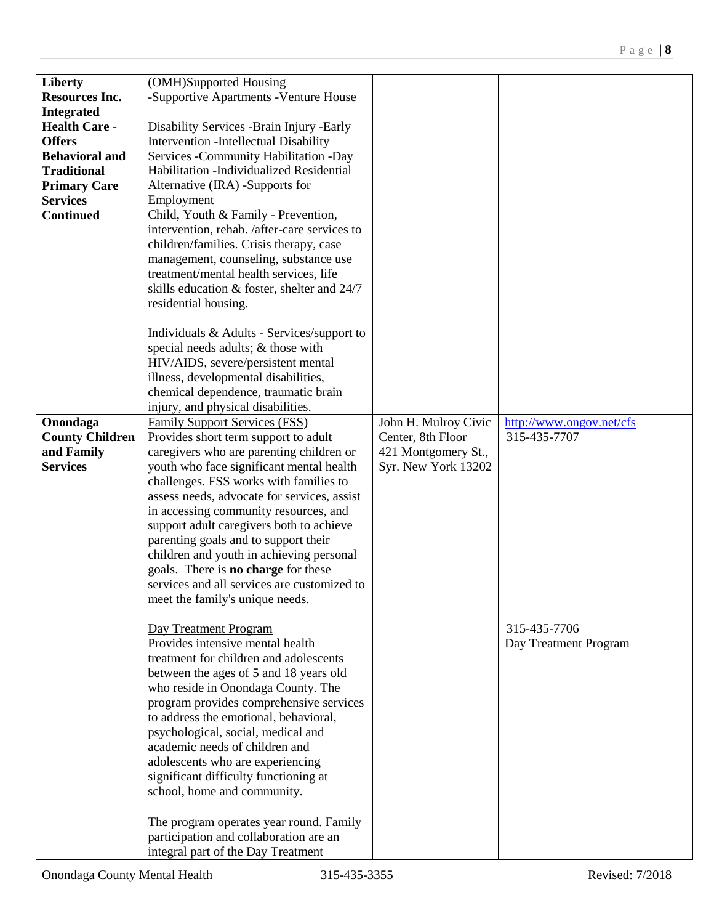| Liberty                | (OMH)Supported Housing                            |                      |                          |
|------------------------|---------------------------------------------------|----------------------|--------------------------|
| <b>Resources Inc.</b>  | -Supportive Apartments -Venture House             |                      |                          |
| <b>Integrated</b>      |                                                   |                      |                          |
| <b>Health Care -</b>   | <b>Disability Services - Brain Injury - Early</b> |                      |                          |
| <b>Offers</b>          | Intervention -Intellectual Disability             |                      |                          |
| <b>Behavioral and</b>  | Services - Community Habilitation - Day           |                      |                          |
| <b>Traditional</b>     | Habilitation - Individualized Residential         |                      |                          |
| <b>Primary Care</b>    | Alternative (IRA) -Supports for                   |                      |                          |
| <b>Services</b>        | Employment                                        |                      |                          |
| <b>Continued</b>       | Child, Youth & Family - Prevention,               |                      |                          |
|                        | intervention, rehab. /after-care services to      |                      |                          |
|                        | children/families. Crisis therapy, case           |                      |                          |
|                        | management, counseling, substance use             |                      |                          |
|                        | treatment/mental health services, life            |                      |                          |
|                        | skills education & foster, shelter and 24/7       |                      |                          |
|                        | residential housing.                              |                      |                          |
|                        |                                                   |                      |                          |
|                        | Individuals & Adults - Services/support to        |                      |                          |
|                        | special needs adults; & those with                |                      |                          |
|                        | HIV/AIDS, severe/persistent mental                |                      |                          |
|                        | illness, developmental disabilities,              |                      |                          |
|                        | chemical dependence, traumatic brain              |                      |                          |
|                        | injury, and physical disabilities.                |                      |                          |
| Onondaga               | <b>Family Support Services (FSS)</b>              | John H. Mulroy Civic | http://www.ongov.net/cfs |
| <b>County Children</b> | Provides short term support to adult              | Center, 8th Floor    | 315-435-7707             |
| and Family             | caregivers who are parenting children or          | 421 Montgomery St.,  |                          |
| <b>Services</b>        | youth who face significant mental health          | Syr. New York 13202  |                          |
|                        | challenges. FSS works with families to            |                      |                          |
|                        | assess needs, advocate for services, assist       |                      |                          |
|                        |                                                   |                      |                          |
|                        | in accessing community resources, and             |                      |                          |
|                        | support adult caregivers both to achieve          |                      |                          |
|                        | parenting goals and to support their              |                      |                          |
|                        | children and youth in achieving personal          |                      |                          |
|                        | goals. There is <b>no charge</b> for these        |                      |                          |
|                        | services and all services are customized to       |                      |                          |
|                        | meet the family's unique needs.                   |                      |                          |
|                        |                                                   |                      |                          |
|                        | Day Treatment Program                             |                      | 315-435-7706             |
|                        | Provides intensive mental health                  |                      | Day Treatment Program    |
|                        | treatment for children and adolescents            |                      |                          |
|                        | between the ages of 5 and 18 years old            |                      |                          |
|                        | who reside in Onondaga County. The                |                      |                          |
|                        | program provides comprehensive services           |                      |                          |
|                        | to address the emotional, behavioral,             |                      |                          |
|                        | psychological, social, medical and                |                      |                          |
|                        | academic needs of children and                    |                      |                          |
|                        | adolescents who are experiencing                  |                      |                          |
|                        | significant difficulty functioning at             |                      |                          |
|                        | school, home and community.                       |                      |                          |
|                        |                                                   |                      |                          |
|                        | The program operates year round. Family           |                      |                          |
|                        | participation and collaboration are an            |                      |                          |
|                        | integral part of the Day Treatment                |                      |                          |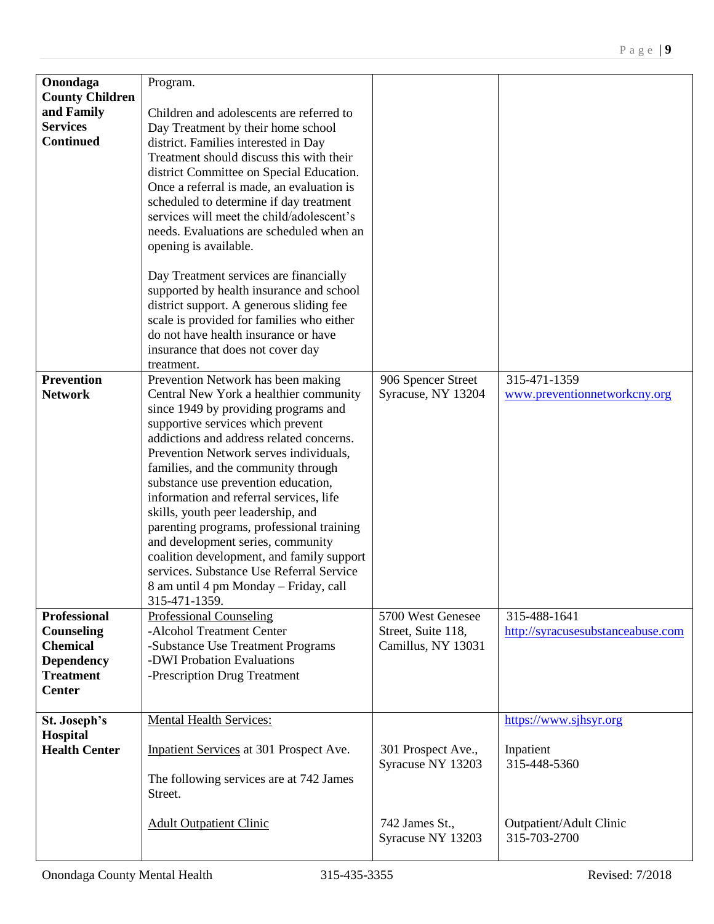| Onondaga                          | Program.                                                                                                                                                                                                                                                               |                    |                                         |
|-----------------------------------|------------------------------------------------------------------------------------------------------------------------------------------------------------------------------------------------------------------------------------------------------------------------|--------------------|-----------------------------------------|
| <b>County Children</b>            |                                                                                                                                                                                                                                                                        |                    |                                         |
| and Family                        | Children and adolescents are referred to                                                                                                                                                                                                                               |                    |                                         |
| <b>Services</b>                   | Day Treatment by their home school                                                                                                                                                                                                                                     |                    |                                         |
| <b>Continued</b>                  | district. Families interested in Day                                                                                                                                                                                                                                   |                    |                                         |
|                                   | Treatment should discuss this with their                                                                                                                                                                                                                               |                    |                                         |
|                                   | district Committee on Special Education.                                                                                                                                                                                                                               |                    |                                         |
|                                   | Once a referral is made, an evaluation is                                                                                                                                                                                                                              |                    |                                         |
|                                   | scheduled to determine if day treatment                                                                                                                                                                                                                                |                    |                                         |
|                                   | services will meet the child/adolescent's                                                                                                                                                                                                                              |                    |                                         |
|                                   | needs. Evaluations are scheduled when an                                                                                                                                                                                                                               |                    |                                         |
|                                   | opening is available.                                                                                                                                                                                                                                                  |                    |                                         |
|                                   | Day Treatment services are financially<br>supported by health insurance and school<br>district support. A generous sliding fee<br>scale is provided for families who either<br>do not have health insurance or have<br>insurance that does not cover day<br>treatment. |                    |                                         |
| <b>Prevention</b>                 | Prevention Network has been making                                                                                                                                                                                                                                     | 906 Spencer Street | 315-471-1359                            |
| <b>Network</b>                    | Central New York a healthier community                                                                                                                                                                                                                                 | Syracuse, NY 13204 | www.preventionnetworkcny.org            |
|                                   | since 1949 by providing programs and                                                                                                                                                                                                                                   |                    |                                         |
|                                   | supportive services which prevent                                                                                                                                                                                                                                      |                    |                                         |
|                                   | addictions and address related concerns.<br>Prevention Network serves individuals,                                                                                                                                                                                     |                    |                                         |
|                                   | families, and the community through                                                                                                                                                                                                                                    |                    |                                         |
|                                   | substance use prevention education,                                                                                                                                                                                                                                    |                    |                                         |
|                                   | information and referral services, life                                                                                                                                                                                                                                |                    |                                         |
|                                   | skills, youth peer leadership, and                                                                                                                                                                                                                                     |                    |                                         |
|                                   | parenting programs, professional training                                                                                                                                                                                                                              |                    |                                         |
|                                   | and development series, community                                                                                                                                                                                                                                      |                    |                                         |
|                                   | coalition development, and family support                                                                                                                                                                                                                              |                    |                                         |
|                                   | services. Substance Use Referral Service                                                                                                                                                                                                                               |                    |                                         |
|                                   | 8 am until 4 pm Monday – Friday, call                                                                                                                                                                                                                                  |                    |                                         |
|                                   | 315-471-1359.                                                                                                                                                                                                                                                          |                    |                                         |
| <b>Professional</b>               | <b>Professional Counseling</b>                                                                                                                                                                                                                                         | 5700 West Genesee  | 315-488-1641                            |
| <b>Counseling</b>                 | -Alcohol Treatment Center                                                                                                                                                                                                                                              | Street, Suite 118, | http://syracusesubstanceabuse.com       |
| <b>Chemical</b>                   | -Substance Use Treatment Programs                                                                                                                                                                                                                                      | Camillus, NY 13031 |                                         |
| <b>Dependency</b>                 | -DWI Probation Evaluations                                                                                                                                                                                                                                             |                    |                                         |
| <b>Treatment</b><br><b>Center</b> | -Prescription Drug Treatment                                                                                                                                                                                                                                           |                    |                                         |
|                                   |                                                                                                                                                                                                                                                                        |                    |                                         |
| St. Joseph's                      | <b>Mental Health Services:</b>                                                                                                                                                                                                                                         |                    | https://www.sjhsyr.org                  |
| Hospital                          |                                                                                                                                                                                                                                                                        |                    |                                         |
| <b>Health Center</b>              | Inpatient Services at 301 Prospect Ave.                                                                                                                                                                                                                                | 301 Prospect Ave., | Inpatient                               |
|                                   |                                                                                                                                                                                                                                                                        | Syracuse NY 13203  | 315-448-5360                            |
|                                   | The following services are at 742 James<br>Street.                                                                                                                                                                                                                     |                    |                                         |
|                                   | <b>Adult Outpatient Clinic</b>                                                                                                                                                                                                                                         | 742 James St.,     | Outpatient/Adult Clinic<br>315-703-2700 |
|                                   |                                                                                                                                                                                                                                                                        | Syracuse NY 13203  |                                         |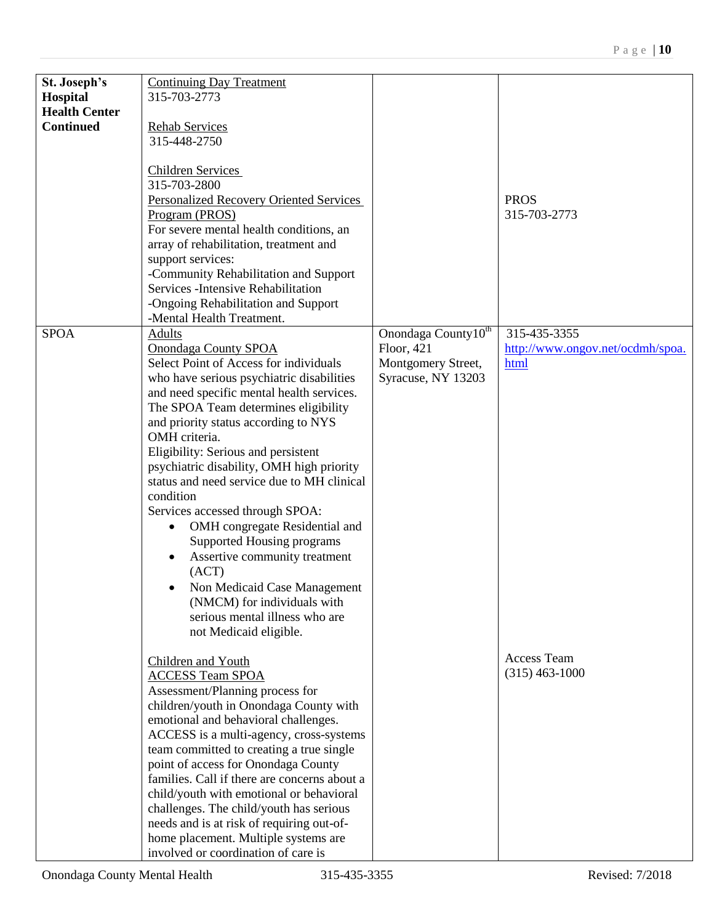| St. Joseph's<br>Hospital                 | <b>Continuing Day Treatment</b><br>315-703-2773                                                                                                                                                                                                                                                                                                                                                                                                                                                                                                                                               |                                                                                           |                                                          |
|------------------------------------------|-----------------------------------------------------------------------------------------------------------------------------------------------------------------------------------------------------------------------------------------------------------------------------------------------------------------------------------------------------------------------------------------------------------------------------------------------------------------------------------------------------------------------------------------------------------------------------------------------|-------------------------------------------------------------------------------------------|----------------------------------------------------------|
| <b>Health Center</b><br><b>Continued</b> | <b>Rehab Services</b><br>315-448-2750                                                                                                                                                                                                                                                                                                                                                                                                                                                                                                                                                         |                                                                                           |                                                          |
|                                          | <b>Children Services</b><br>315-703-2800<br><b>Personalized Recovery Oriented Services</b><br>Program (PROS)<br>For severe mental health conditions, an<br>array of rehabilitation, treatment and<br>support services:<br>-Community Rehabilitation and Support<br>Services - Intensive Rehabilitation<br>-Ongoing Rehabilitation and Support<br>-Mental Health Treatment.                                                                                                                                                                                                                    |                                                                                           | <b>PROS</b><br>315-703-2773                              |
| <b>SPOA</b>                              | Adults<br>Onondaga County SPOA<br>Select Point of Access for individuals<br>who have serious psychiatric disabilities<br>and need specific mental health services.<br>The SPOA Team determines eligibility                                                                                                                                                                                                                                                                                                                                                                                    | Onondaga County <sup>10th</sup><br>Floor, 421<br>Montgomery Street,<br>Syracuse, NY 13203 | 315-435-3355<br>http://www.ongov.net/ocdmh/spoa.<br>html |
|                                          | and priority status according to NYS<br>OMH criteria.<br>Eligibility: Serious and persistent<br>psychiatric disability, OMH high priority<br>status and need service due to MH clinical<br>condition<br>Services accessed through SPOA:<br>OMH congregate Residential and<br>$\bullet$<br>Supported Housing programs<br>Assertive community treatment<br>$\bullet$<br>(ACT)<br>Non Medicaid Case Management<br>$\bullet$<br>(NMCM) for individuals with<br>serious mental illness who are                                                                                                     |                                                                                           |                                                          |
|                                          | not Medicaid eligible.<br>Children and Youth<br><b>ACCESS Team SPOA</b><br>Assessment/Planning process for<br>children/youth in Onondaga County with<br>emotional and behavioral challenges.<br>ACCESS is a multi-agency, cross-systems<br>team committed to creating a true single<br>point of access for Onondaga County<br>families. Call if there are concerns about a<br>child/youth with emotional or behavioral<br>challenges. The child/youth has serious<br>needs and is at risk of requiring out-of-<br>home placement. Multiple systems are<br>involved or coordination of care is |                                                                                           | Access Team<br>$(315)$ 463-1000                          |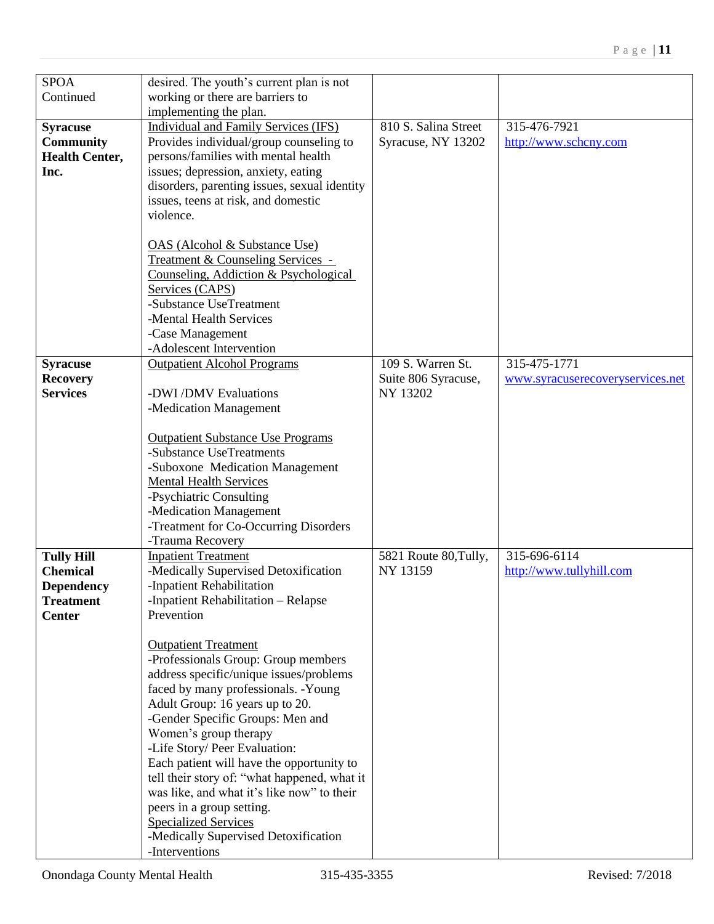| <b>SPOA</b>           | desired. The youth's current plan is not                             |                       |                                  |
|-----------------------|----------------------------------------------------------------------|-----------------------|----------------------------------|
| Continued             | working or there are barriers to                                     |                       |                                  |
|                       | implementing the plan.                                               |                       |                                  |
| <b>Syracuse</b>       | <b>Individual and Family Services (IFS)</b>                          | 810 S. Salina Street  | 315-476-7921                     |
| <b>Community</b>      | Provides individual/group counseling to                              | Syracuse, NY 13202    | http://www.schcny.com            |
| <b>Health Center,</b> | persons/families with mental health                                  |                       |                                  |
| Inc.                  | issues; depression, anxiety, eating                                  |                       |                                  |
|                       |                                                                      |                       |                                  |
|                       | disorders, parenting issues, sexual identity                         |                       |                                  |
|                       | issues, teens at risk, and domestic                                  |                       |                                  |
|                       | violence.                                                            |                       |                                  |
|                       |                                                                      |                       |                                  |
|                       | OAS (Alcohol & Substance Use)                                        |                       |                                  |
|                       | Treatment & Counseling Services -                                    |                       |                                  |
|                       | Counseling, Addiction & Psychological                                |                       |                                  |
|                       | Services (CAPS)                                                      |                       |                                  |
|                       | -Substance UseTreatment                                              |                       |                                  |
|                       | -Mental Health Services                                              |                       |                                  |
|                       | -Case Management                                                     |                       |                                  |
|                       | -Adolescent Intervention                                             |                       |                                  |
| <b>Syracuse</b>       | <b>Outpatient Alcohol Programs</b>                                   | 109 S. Warren St.     | 315-475-1771                     |
| <b>Recovery</b>       |                                                                      | Suite 806 Syracuse,   | www.syracuserecoveryservices.net |
| <b>Services</b>       | -DWI/DMV Evaluations                                                 | NY 13202              |                                  |
|                       | -Medication Management                                               |                       |                                  |
|                       |                                                                      |                       |                                  |
|                       | <b>Outpatient Substance Use Programs</b><br>-Substance UseTreatments |                       |                                  |
|                       |                                                                      |                       |                                  |
|                       | -Suboxone Medication Management                                      |                       |                                  |
|                       | <b>Mental Health Services</b>                                        |                       |                                  |
|                       | -Psychiatric Consulting                                              |                       |                                  |
|                       | -Medication Management                                               |                       |                                  |
|                       | -Treatment for Co-Occurring Disorders                                |                       |                                  |
|                       | -Trauma Recovery                                                     |                       |                                  |
| <b>Tully Hill</b>     | <b>Inpatient Treatment</b>                                           | 5821 Route 80, Tully, | 315-696-6114                     |
| <b>Chemical</b>       | -Medically Supervised Detoxification                                 | NY 13159              | http://www.tullyhill.com         |
| <b>Dependency</b>     | -Inpatient Rehabilitation                                            |                       |                                  |
| <b>Treatment</b>      | -Inpatient Rehabilitation – Relapse                                  |                       |                                  |
| <b>Center</b>         | Prevention                                                           |                       |                                  |
|                       |                                                                      |                       |                                  |
|                       | <b>Outpatient Treatment</b>                                          |                       |                                  |
|                       | -Professionals Group: Group members                                  |                       |                                  |
|                       | address specific/unique issues/problems                              |                       |                                  |
|                       | faced by many professionals. -Young                                  |                       |                                  |
|                       | Adult Group: 16 years up to 20.                                      |                       |                                  |
|                       | -Gender Specific Groups: Men and                                     |                       |                                  |
|                       | Women's group therapy                                                |                       |                                  |
|                       | -Life Story/ Peer Evaluation:                                        |                       |                                  |
|                       | Each patient will have the opportunity to                            |                       |                                  |
|                       | tell their story of: "what happened, what it                         |                       |                                  |
|                       | was like, and what it's like now" to their                           |                       |                                  |
|                       | peers in a group setting.                                            |                       |                                  |
|                       | <b>Specialized Services</b>                                          |                       |                                  |
|                       | -Medically Supervised Detoxification                                 |                       |                                  |
|                       | -Interventions                                                       |                       |                                  |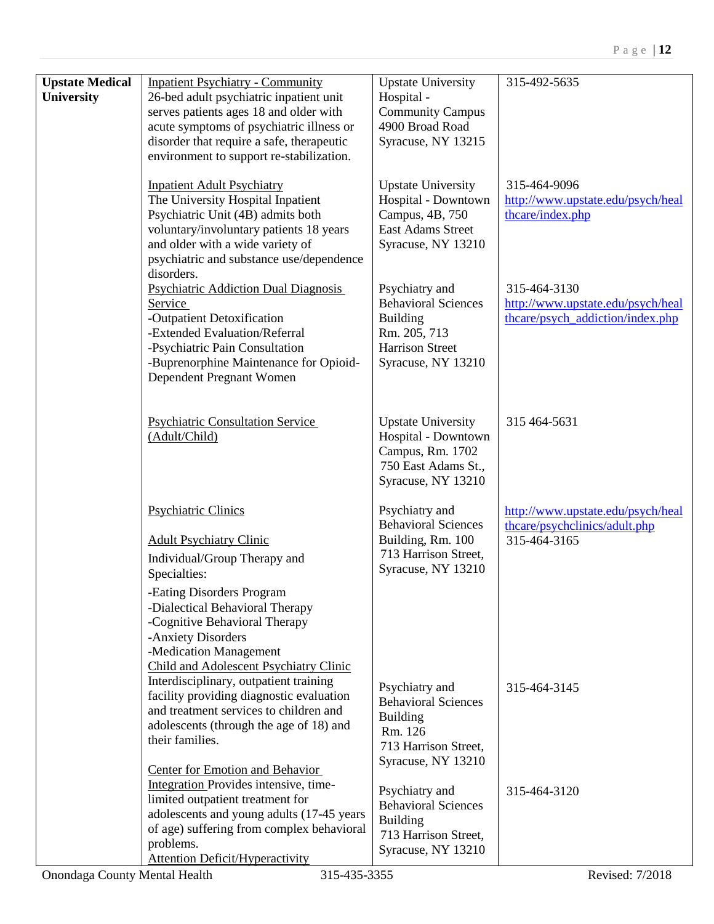| <b>Upstate Medical</b><br><b>University</b> | <b>Inpatient Psychiatry - Community</b><br>26-bed adult psychiatric inpatient unit<br>serves patients ages 18 and older with<br>acute symptoms of psychiatric illness or                                                                                                                                       | <b>Upstate University</b><br>Hospital -<br><b>Community Campus</b><br>4900 Broad Road                                           | 315-492-5635                                                                          |
|---------------------------------------------|----------------------------------------------------------------------------------------------------------------------------------------------------------------------------------------------------------------------------------------------------------------------------------------------------------------|---------------------------------------------------------------------------------------------------------------------------------|---------------------------------------------------------------------------------------|
|                                             | disorder that require a safe, therapeutic<br>environment to support re-stabilization.<br><b>Inpatient Adult Psychiatry</b>                                                                                                                                                                                     | Syracuse, NY 13215<br><b>Upstate University</b>                                                                                 | 315-464-9096                                                                          |
|                                             | The University Hospital Inpatient<br>Psychiatric Unit (4B) admits both<br>voluntary/involuntary patients 18 years<br>and older with a wide variety of<br>psychiatric and substance use/dependence<br>disorders.                                                                                                | Hospital - Downtown<br>Campus, 4B, 750<br>East Adams Street<br>Syracuse, NY 13210                                               | http://www.upstate.edu/psych/heal<br>thcare/index.php                                 |
|                                             | <b>Psychiatric Addiction Dual Diagnosis</b><br>Service<br>-Outpatient Detoxification<br>-Extended Evaluation/Referral<br>-Psychiatric Pain Consultation<br>-Buprenorphine Maintenance for Opioid-<br>Dependent Pregnant Women                                                                                  | Psychiatry and<br><b>Behavioral Sciences</b><br><b>Building</b><br>Rm. 205, 713<br><b>Harrison Street</b><br>Syracuse, NY 13210 | 315-464-3130<br>http://www.upstate.edu/psych/heal<br>thcare/psych_addiction/index.php |
|                                             | <b>Psychiatric Consultation Service</b><br>(Adult/Child)                                                                                                                                                                                                                                                       | <b>Upstate University</b><br>Hospital - Downtown<br>Campus, Rm. 1702<br>750 East Adams St.,<br>Syracuse, NY 13210               | 315 464-5631                                                                          |
|                                             | <b>Psychiatric Clinics</b><br><b>Adult Psychiatry Clinic</b><br>Individual/Group Therapy and<br>Specialties:<br>-Eating Disorders Program<br>-Dialectical Behavioral Therapy<br>-Cognitive Behavioral Therapy<br>-Anxiety Disorders<br>-Medication Management<br><b>Child and Adolescent Psychiatry Clinic</b> | Psychiatry and<br><b>Behavioral Sciences</b><br>Building, Rm. 100<br>713 Harrison Street,<br>Syracuse, NY 13210                 | http://www.upstate.edu/psych/heal<br>theare/psycholinics/adult.php<br>315-464-3165    |
|                                             | Interdisciplinary, outpatient training<br>facility providing diagnostic evaluation<br>and treatment services to children and<br>adolescents (through the age of 18) and<br>their families.<br><b>Center for Emotion and Behavior</b>                                                                           | Psychiatry and<br><b>Behavioral Sciences</b><br><b>Building</b><br>Rm. 126<br>713 Harrison Street,<br>Syracuse, NY 13210        | 315-464-3145                                                                          |
|                                             | Integration Provides intensive, time-<br>limited outpatient treatment for<br>adolescents and young adults (17-45 years<br>of age) suffering from complex behavioral<br>problems.<br><b>Attention Deficit/Hyperactivity</b>                                                                                     | Psychiatry and<br><b>Behavioral Sciences</b><br><b>Building</b><br>713 Harrison Street,<br>Syracuse, NY 13210                   | 315-464-3120                                                                          |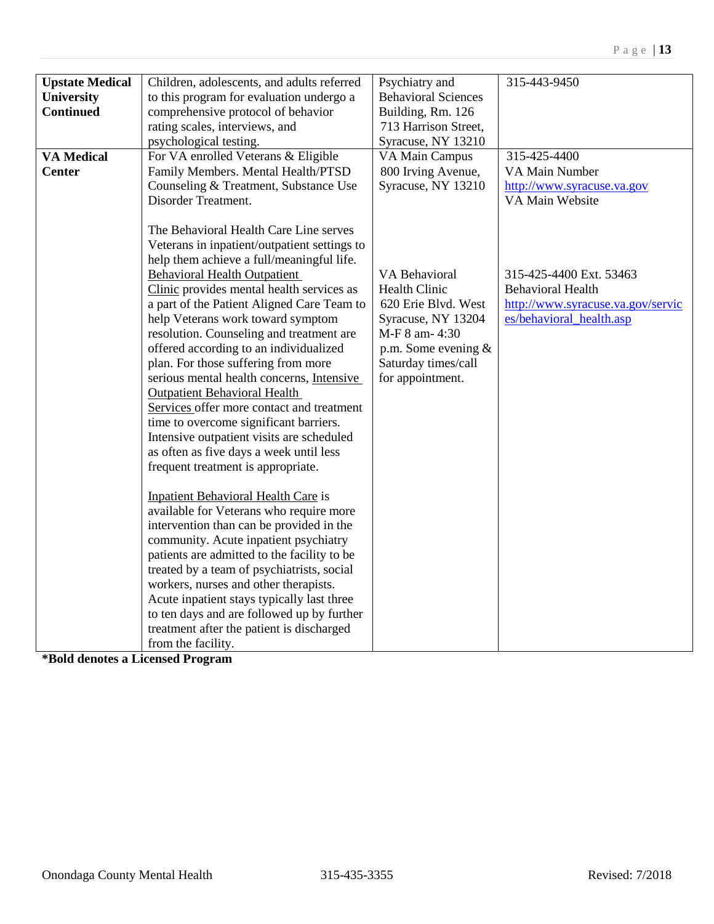| Psychiatry and<br>Children, adolescents, and adults referred<br><b>Upstate Medical</b><br><b>Behavioral Sciences</b><br>to this program for evaluation undergo a<br><b>University</b><br><b>Continued</b><br>comprehensive protocol of behavior<br>Building, Rm. 126<br>rating scales, interviews, and<br>713 Harrison Street,<br>psychological testing.<br>Syracuse, NY 13210<br><b>VA Medical</b><br>For VA enrolled Veterans & Eligible<br>VA Main Campus<br>800 Irving Avenue,<br>Family Members. Mental Health/PTSD<br><b>Center</b><br>Syracuse, NY 13210<br>Counseling & Treatment, Substance Use<br>Disorder Treatment.<br>The Behavioral Health Care Line serves<br>Veterans in inpatient/outpatient settings to<br>help them achieve a full/meaningful life.                                                                                                                                                                                                                                                                                                                                                                                                                                                                                                   | 315-425-4400<br>VA Main Number<br>http://www.syracuse.va.gov<br>VA Main Website                                      |
|--------------------------------------------------------------------------------------------------------------------------------------------------------------------------------------------------------------------------------------------------------------------------------------------------------------------------------------------------------------------------------------------------------------------------------------------------------------------------------------------------------------------------------------------------------------------------------------------------------------------------------------------------------------------------------------------------------------------------------------------------------------------------------------------------------------------------------------------------------------------------------------------------------------------------------------------------------------------------------------------------------------------------------------------------------------------------------------------------------------------------------------------------------------------------------------------------------------------------------------------------------------------------|----------------------------------------------------------------------------------------------------------------------|
|                                                                                                                                                                                                                                                                                                                                                                                                                                                                                                                                                                                                                                                                                                                                                                                                                                                                                                                                                                                                                                                                                                                                                                                                                                                                          |                                                                                                                      |
|                                                                                                                                                                                                                                                                                                                                                                                                                                                                                                                                                                                                                                                                                                                                                                                                                                                                                                                                                                                                                                                                                                                                                                                                                                                                          |                                                                                                                      |
|                                                                                                                                                                                                                                                                                                                                                                                                                                                                                                                                                                                                                                                                                                                                                                                                                                                                                                                                                                                                                                                                                                                                                                                                                                                                          |                                                                                                                      |
|                                                                                                                                                                                                                                                                                                                                                                                                                                                                                                                                                                                                                                                                                                                                                                                                                                                                                                                                                                                                                                                                                                                                                                                                                                                                          |                                                                                                                      |
|                                                                                                                                                                                                                                                                                                                                                                                                                                                                                                                                                                                                                                                                                                                                                                                                                                                                                                                                                                                                                                                                                                                                                                                                                                                                          |                                                                                                                      |
|                                                                                                                                                                                                                                                                                                                                                                                                                                                                                                                                                                                                                                                                                                                                                                                                                                                                                                                                                                                                                                                                                                                                                                                                                                                                          |                                                                                                                      |
|                                                                                                                                                                                                                                                                                                                                                                                                                                                                                                                                                                                                                                                                                                                                                                                                                                                                                                                                                                                                                                                                                                                                                                                                                                                                          |                                                                                                                      |
|                                                                                                                                                                                                                                                                                                                                                                                                                                                                                                                                                                                                                                                                                                                                                                                                                                                                                                                                                                                                                                                                                                                                                                                                                                                                          |                                                                                                                      |
| <b>Behavioral Health Outpatient</b><br>VA Behavioral<br><b>Health Clinic</b><br>Clinic provides mental health services as<br>a part of the Patient Aligned Care Team to<br>620 Erie Blvd. West<br>help Veterans work toward symptom<br>Syracuse, NY 13204<br>resolution. Counseling and treatment are<br>M-F 8 am- 4:30<br>offered according to an individualized<br>p.m. Some evening $&$<br>plan. For those suffering from more<br>Saturday times/call<br>serious mental health concerns, Intensive<br>for appointment.<br><b>Outpatient Behavioral Health</b><br>Services offer more contact and treatment<br>time to overcome significant barriers.<br>Intensive outpatient visits are scheduled<br>as often as five days a week until less<br>frequent treatment is appropriate.<br><b>Inpatient Behavioral Health Care is</b><br>available for Veterans who require more<br>intervention than can be provided in the<br>community. Acute inpatient psychiatry<br>patients are admitted to the facility to be<br>treated by a team of psychiatrists, social<br>workers, nurses and other therapists.<br>Acute inpatient stays typically last three<br>to ten days and are followed up by further<br>treatment after the patient is discharged<br>from the facility. | 315-425-4400 Ext. 53463<br><b>Behavioral Health</b><br>http://www.syracuse.va.gov/servic<br>es/behavioral_health.asp |

**\*Bold denotes a Licensed Program**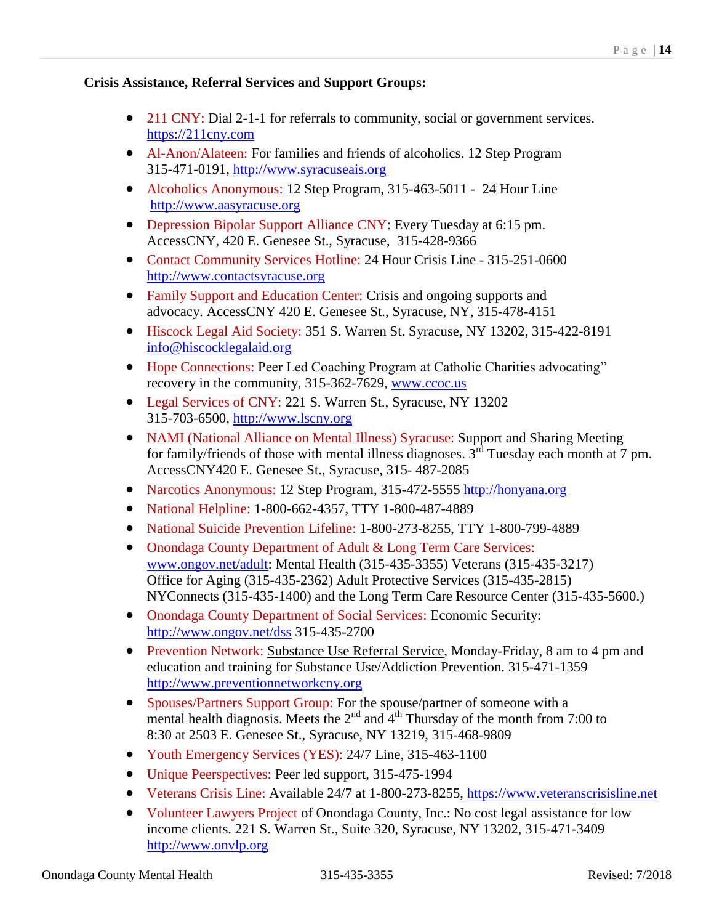## **Crisis Assistance, Referral Services and Support Groups:**

- 211 CNY: Dial 2-1-1 for referrals to community, social or government services. [https://211cny.com](https://211cny.com/)
- Al-Anon/Alateen: For families and friends of alcoholics. 12 Step Program 315-471-0191, [http://www.syracuseais.org](http://www.syracuseais.org/)
- Alcoholics Anonymous: 12 Step Program, 315-463-5011 24 Hour Line [http://www.aasyracuse.org](http://www.aasyracuse.org/)
- Depression Bipolar Support Alliance CNY: Every Tuesday at 6:15 pm. AccessCNY, 420 E. Genesee St., Syracuse, 315-428-9366
- Contact Community Services Hotline: 24 Hour Crisis Line 315-251-0600 [http://www.contactsyracuse.org](http://www.contactsyracuse.org/)
- Family Support and Education Center: Crisis and ongoing supports and advocacy. AccessCNY 420 E. Genesee St., Syracuse, NY, 315-478-4151
- Hiscock Legal Aid Society: 351 S. Warren St. Syracuse, NY 13202, 315-422-8191 [info@hiscocklegalaid.org](mailto:info@hiscocklegalaid.org)
- Hope Connections: Peer Led Coaching Program at Catholic Charities advocating" recovery in the community, 315-362-7629, [www.ccoc.us](http://www.ccoc.us/)
- Legal Services of CNY: 221 S. Warren St., Syracuse, NY 13202 315-703-6500, [http://www.lscny.org](http://www.lscny.org/)
- NAMI (National Alliance on Mental Illness) Syracuse: Support and Sharing Meeting for family/friends of those with mental illness diagnoses.  $3<sup>rd</sup>$  Tuesday each month at 7 pm. AccessCNY420 E. Genesee St., Syracuse, 315- 487-2085
- Narcotics Anonymous: 12 Step Program, 315-472-5555 [http://honyana.org](http://honyana.org/)
- National Helpline: 1-800-662-4357, TTY 1-800-487-4889
- National Suicide Prevention Lifeline: 1-800-273-8255, TTY 1-800-799-4889
- Onondaga County Department of Adult & Long Term Care Services: [www.ongov.net/adult:](http://www.ongov.net/adult) Mental Health (315-435-3355) Veterans (315-435-3217) Office for Aging (315-435-2362) Adult Protective Services (315-435-2815) NYConnects (315-435-1400) and the Long Term Care Resource Center (315-435-5600.)
- Onondaga County Department of Social Services: Economic Security: [http://www.ongov.net/dss](http://www.ongov.net/dss/) 315-435-2700
- Prevention Network: Substance Use Referral Service, Monday-Friday, 8 am to 4 pm and education and training for Substance Use/Addiction Prevention. 315-471-1359 [http://www.preventionnetworkcny.org](http://www.preventionnetworkcny.org/)
- Spouses/Partners Support Group: For the spouse/partner of someone with a mental health diagnosis. Meets the  $2<sup>nd</sup>$  and  $4<sup>th</sup>$  Thursday of the month from 7:00 to 8:30 at 2503 E. Genesee St., Syracuse, NY 13219, 315-468-9809
- Youth Emergency Services (YES): 24/7 Line, 315-463-1100
- Unique Peerspectives: Peer led support, 315-475-1994
- Veterans Crisis Line: Available 24/7 at 1-800-273-8255, [https://www.veteranscrisisline.net](https://www.veteranscrisisline.net/)
- Volunteer Lawyers Project of Onondaga County, Inc.: No cost legal assistance for low income clients. 221 S. Warren St., Suite 320, Syracuse, NY 13202, 315-471-3409 [http://www.onvlp.org](http://www.onvlp.org/)